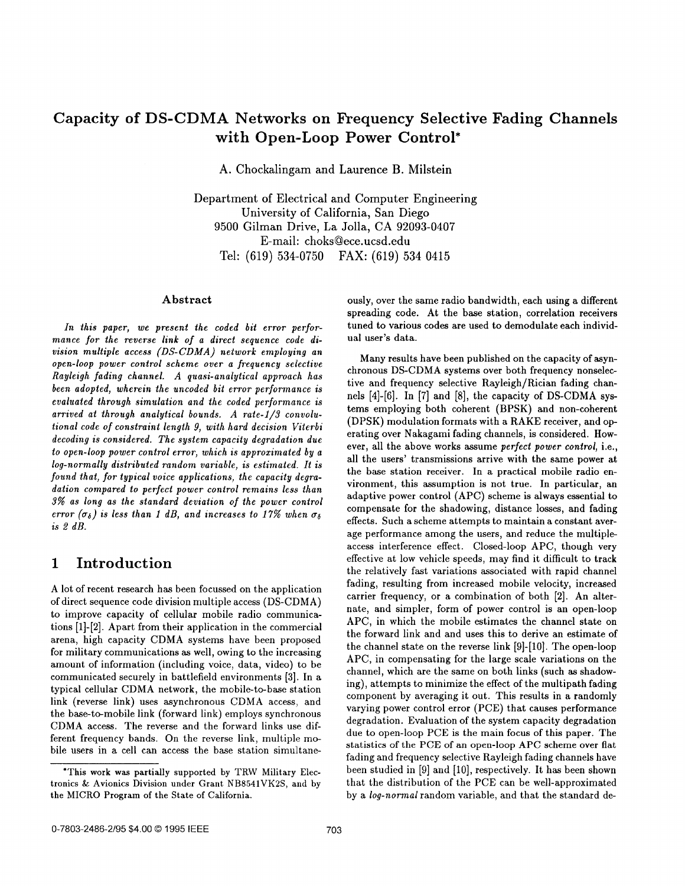# **Capacity of DS-CDMA Networks on Frequency Selective Fading Channels with Open-Loop Power Control\***

**A.** Chockalingam and Laurence B. Milstein

Departiment of Electrical and Computer Engineering University of California, San Diego 9500 Gilman Drive, La Jolla, CA **92093-0407**  E- mail: choks Qece. ucsd. edu Tel: (619) **534-0750 FAX:** (619) **534 0415** 

### **Abstract**

*In this paper, we present the coded bit error performance for the reverse link* of *a direct sequence code division multiple access (DS-CDMA) network employing an open-loop power control scheme over a frequency selective Rayleigh fading channel. A quasi-analytical approach has been adopted, wherein the uncoded bit error performance is evaluated through simulation and the coded performance is*  arrived at through analytical bounds. A rate-1/3 convolu*tional code* of *constraint length 9, with hard decision Viterbi decoding is consadered. The system capacity degradation due to open-loop power control error, which* **is** *approximated by a log-normally distributed random variable, is estimated. It is found that, for typical voice applications, the capacity degradation compared to perfect power control remains less than 3% as long as the standard deviation* **64** *the power control error*  $(\sigma_{\delta})$  *is less than 1 dB, and increases to 17% when*  $\sigma_{\delta}$ *is 2 dB.* 

## **1 Introduction**

A lot of recent research has been focussed on the application of direct sequence code division multiple access (DS-CDMA) to improve capacity of cellular mobile radio communications **[1]-[2].** Apart from their application in the commercial arena, high capacity CDMA systems have been proposed for military communications **as** well, owing to the increasing amount of information (including voice, data, video) to be communicated securely in battlefield environments **[3].** In a typical cellular CDMA network, the mobile-to-base station link (reverse link) uses asynchronous CDMA access, and the base-to-mobile link (forward link) employs synchronous CDMA access. The reverse and the forward links use different frequency bands. On the reverse link, multiple mobile users in a cell can access the base station simultaneously, over the same radio bandwidth, each using a different spreading code. At the base station, correlation receivers tuned to various codes are used to demodulate each individual user's data.

Many results have been published on the capacity of asynchronous DS-CDMA systems over both frequency nonselective and frequency selective Rayleigh/Rician fading channels [4]-[6]. In [7] and [8], the capacity of DS-CDMA systems employing both coherent (BPSK) and non-coherent (DPSK) modulation formats with a RAKE receiver, and operating over Nakagami fading channels, is considered. However, all the above works assume *perfect power control,* i.e., all the users' transmissions arrive with the same power at the base station receiver. In a practical mobile radio environment, this assumption **is** not true. In particular, an adaptive power control (APC) scheme is always essential to compensate for the shadowing, distance losses, and fading effects. Such a scheme attempts to maintain a constant average performance among the users, and reduce the multipleaccess interference effect. Closed-loop APC, though very effective at low vehicle speeds, may find it difficult to track the relatively fast variations associated with rapid channel fading, resulting from increased mobile velocity, increased carrier frequency, or a combination of both **[2].** An alternate, and simpler, form of power control is an open-loop APC, in which the mobile estimates the channel state on the forward link and and uses this to derive an estimate of the channel state on the reverse link **[9]-[lo].** The open-loop APC, in compensating for the large scale variations on the channel, which are the same on both links (such **as** shadowing), attempts to minimize the effect of the multipath fading component by averaging it out. This results in a randomly varying power control error (PCE) that causes performance degradation. Evaluation of the system capacity degradation due to open-loop PCE is the main focus of this paper. The statistics of the **PCE** of an open-loop **APC** scheme over flat fading and frequency selective Rayleigh fading channels have been studied in [9] and **[lo],** respectively. It has been shown that the distribution of the PCE can be well-approximated by a *log-normal* random variable, and that the standard de-

<sup>&#</sup>x27;This **work was** partially supported by TRW Military Electronics & Avionics Division under Grant **NB8541VK2S,** and **by**  the MICRO Program of the State of California.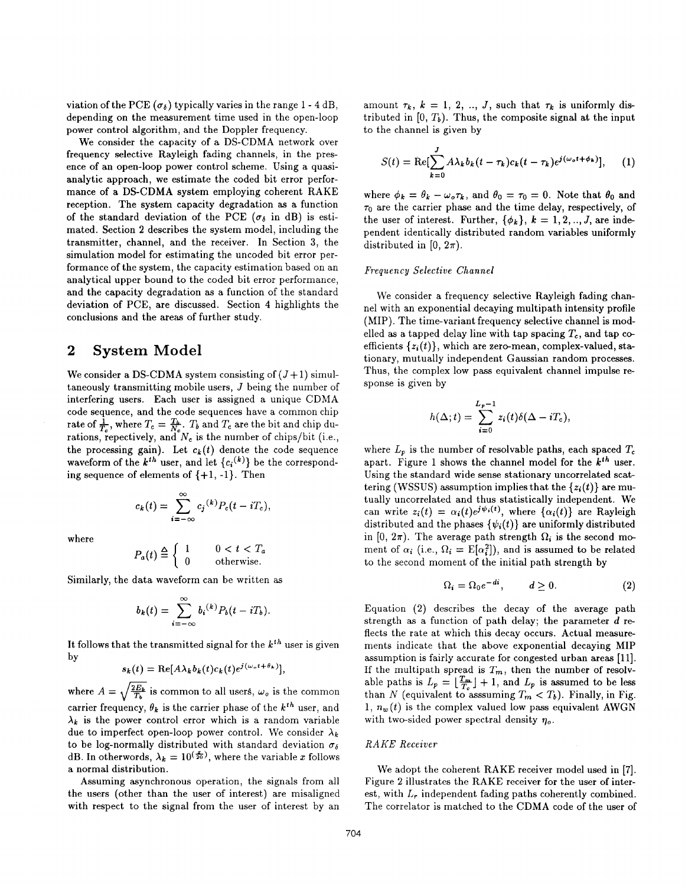viation of the PCE  $(\sigma_{\delta})$  typically varies in the range 1 - 4 dB, depending on the measurement time used in the open-loop power control algorithm, and the Doppler frequency.

We consider the capacity of a DS-CDMA network over frequency selective Rayleigh fading channels, in the presence of an open-loop power control scheme. Using a quasianalytic approach, we estimate the coded bit error performance of a DS-CDMA system employing coherent RAKE reception. The system capacity degradation **as** a function of the standard deviation of the PCE ( $\sigma_{\delta}$  in dB) is estimated. Section **2** describes the system model, including the transmitter, channel, and the receiver. In Section **3,** the simulation model for estimating the uncoded bit error performance of the system, the capacity estimation based on an analytical upper bound to the coded bit error performance, and the capacity degradation as a function of the standard deviation of PCE, are discussed. Section **4** highlights the conclusions and the areas of further study.

### **2 System Model**

We consider a DS-CDMA system consisting of  $(J+1)$  simultaneously transmitting mobile users, *J* being the number of interfering users. Each user is assigned a unique CDMA code sequence, and the code sequences have a common chip rate of  $\frac{1}{T_c}$ , where  $T_c = \frac{T_b}{N_c}$ .  $T_b$  and  $T_c$  are the bit and chip durations, repectively, and  $N_c$  is the number of chips/bit (i.e., the processing gain). Let  $c_k(t)$  denote the code sequence waveform of the  $k^{th}$  user, and let  ${c_i^{(k)}}$  be the corresponding sequence of elements of  $\{+1, -1\}$ . Then

$$
c_k(t) = \sum_{i=-\infty}^{\infty} c_j^{(k)} P_c(t - iT_c),
$$

where

$$
P_a(t) \stackrel{\Delta}{=} \left\{ \begin{array}{cc} 1 & 0 < t < T_a \\ 0 & \text{otherwise.} \end{array} \right.
$$

Similarly, the data waveform can be written as

$$
b_k(t)=\sum_{i=-\infty}^{\infty}b_i^{(k)}P_b(t-iT_b).
$$

It follows that the transmitted signal for the  $k^{th}$  user is given by

$$
s_k(t) = \text{Re}[A\lambda_k b_k(t)c_k(t)e^{j(\omega_o t + \theta_k)}],
$$

where  $A = \sqrt{\frac{2E_b}{T_b}}$  is common to all users,  $\omega_o$  is the common carrier frequency,  $\theta_k$  is the carrier phase of the  $k^{th}$  user, and  $\lambda_k$  is the power control error which is a random variable due to imperfect open-loop power control. We consider  $\lambda_k$ to be log-normally distributed with standard deviation  $\sigma_{\delta}$ dB. In otherwords,  $\lambda_k = 10^{(\frac{x}{20})}$ , where the variable *x* follows a normal distribution.

Assuming asynchronous operation, the signals from all the users (other than the user of interest) are misaligned with respect to the signal from the user of interest by an amount  $\tau_k$ ,  $k = 1, 2, ..., J$ , such that  $\tau_k$  is uniformly distributed in  $[0, T_b)$ . Thus, the composite signal at the input to the channel is given by

$$
S(t) = \text{Re}\left[\sum_{k=0}^{J} A\lambda_k b_k (t - \tau_k) c_k (t - \tau_k) e^{j(\omega_o t + \phi_k)}\right], \quad (1)
$$

where  $\phi_k = \theta_k - \omega_o \tau_k$ , and  $\theta_0 = \tau_0 = 0$ . Note that  $\theta_0$  and  $\tau_0$  are the carrier phase and the time delay, respectively, of the user of interest. Further,  $\{\phi_k\}$ ,  $k = 1, 2, ..., J$ , are independent identically distributed random variables uniformly distributed in  $[0, 2\pi)$ .

### $Frequencies$ *<i>Frequency Selective Channel*

We consider a frequency selective Rayleigh fading channel with an exponential decaying multipath intensity profile (MIP). The time-variant frequency selective channel is modelled as a tapped delay line with tap spacing  $T_c$ , and tap coefficients  $\{z_i(t)\}$ , which are zero-mean, complex-valued, stationary, mutually independent Gaussian random processes. Thus, the complex low pass equivalent channel impulse response is given by

$$
h(\Delta;t)=\sum_{i=0}^{L_{\mathfrak{p}}-1}z_i(t)\delta(\Delta-iT_{\mathfrak{c}}),
$$

where  $L_p$  is the number of resolvable paths, each spaced  $T_c$ apart. [Figure 1](#page-2-0) shows the channel model for the *kth* user. Using the standard wide sense stationary uncorrelated scattering (WSSUS) assumption implies that the *(z;(t)}* are mutually uncorrelated and thus statistically independent. We can write  $z_i(t) = \alpha_i(t)e^{j\psi_i(t)}$ , where  $\{\alpha_i(t)\}\$ are Rayleigh distributed and the phases  $\{\psi_i(t)\}\$ are uniformly distributed in [0,  $2\pi$ ). The average path strength  $\Omega_i$  is the second moment of  $\alpha_i$  (i.e.,  $\Omega_i = \mathbb{E}[\alpha_i^2]$ ), and is assumed to be related to the second moment of the initial path strength by

$$
\Omega_i = \Omega_0 e^{-di}, \qquad d \ge 0. \tag{2}
$$

Equation **(2)** describes the decay of the average path strength **as** a function of path delay; the parameter *d* reflects the rate at which this decay occurs. Actual measurements indicate that the above exponential decaying MIP assumption is fairly accurate for congested urban areas [ll]. If the multipath spread is  $T_m$ , then the number of resolvable paths is  $L_p = \lfloor \frac{T_m}{T_c} \rfloor + 1$ , and  $L_p$  is assumed to be less than *N* (equivalent to asssuming  $T_m < T_b$ ). Finally, in Fig. 1,  $n_w(t)$  is the complex valued low pass equivalent AWGN with two-sided power spectral density  $\eta_o$ .

### *RAKE Receiver*

We adopt the coherent RAKE receiver model used in [7]. Figure **2** illustrates the RAKE receiver for the user of interest, with *L,* independent fading paths coherently combined. The correlator is matched to the CDMA code of the user of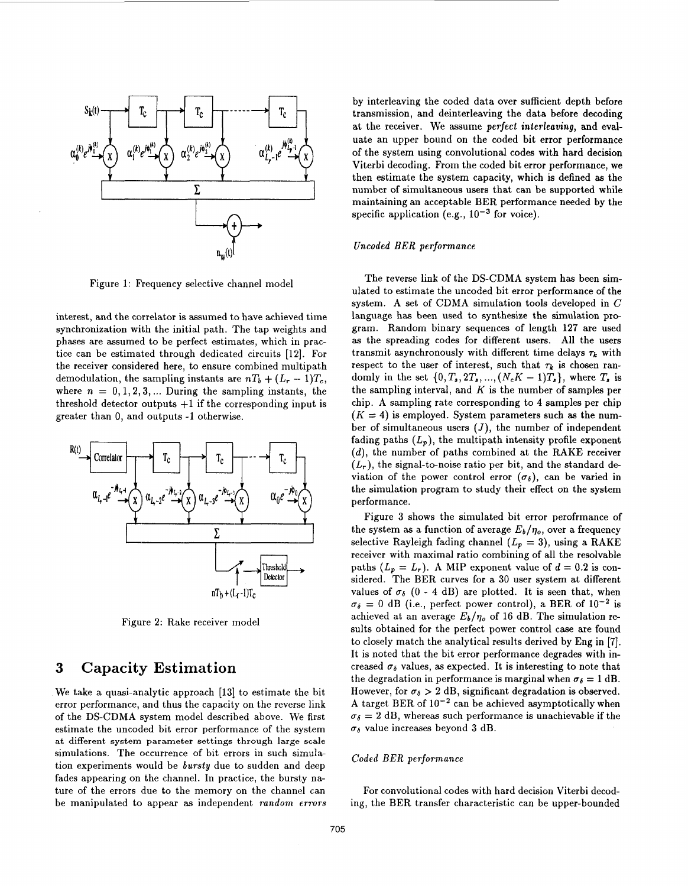<span id="page-2-0"></span>

Figure 1: Frequency selective channel model

interest, and the correlator is assumed to have achieved time synchronization with the initial path. The tap weights and phases are assumed to be perfect estimates, which in practice can be estimated through dedicated circuits **[12].** For the receiver considered here, to ensure combined mulltipath demodulation, the sampling instants are  $nT_b + (L_r - 1)T_c$ , where  $n = 0, 1, 2, 3, \dots$  During the sampling instants, the threshold detector outputs  $+1$  if the corresponding input is greater than 0, and outputs **-1** otherwise.



Figure **2:** Rake receiver model

## **3 Capacity Estimation.**

We take a quasi-analytic approach **[13]** to estimate the bit error performance, and thus the capacity on the reverse link of the DS-CDMA system model described above. We first estimate the uncoded bit error performance of the system **at different system parameter settings through large scale**  simulations. The occurrence of bit errors in such simulation experiments would be *bursty* due to sudden and deep fades appearing on the channel. In practice, the bursty nature of the errors due to the memory on the channel can be manipulated to appear as independent *random errors*  by interleaving the coded data over sufficient depth before transmission, and deinterleaving the data before decoding at the receiver. We assume **perfect interleaving,** and evaluate an upper bound on the coded bit error performance of the system using convolutional codes with hard decision Viterbi decoding. From the coded bit error performance, we then estimate the system capacity, which is defined **as** the number of simultaneous users that can **be** supported while maintaining an acceptable BER performance needed by the specific application (e.g.,  $10^{-3}$  for voice).

### **Uncoded** *BER* **performance**

The reverse link of the DS-CDMA system has been simulated to estimate the uncoded bit error performance of the system. A set of CDMA simulation tools developed in *C*  language has been used to synthesize the simulation program. Random binary sequences of length **127** are used **as** the spreading codes for different users. All the users transmit asynchronously with different time delays  $\tau_k$  with respect to the user of interest, such that  $\tau_k$  is chosen randomly in the set  $\{0, T_s, 2T_s, ..., (N_c K - 1)T_s\}$ , where  $T_s$  is the sampling interval, and *K* is the number of samples per chip. A sampling rate corresponding to **4** samples per chip  $(K = 4)$  is employed. System parameters such as the number of simultaneous users  $(J)$ , the number of independent fading paths  $(L_n)$ , the multipath intensity profile exponent *(d),* the number of paths combined at the RAKE receiver  $(L_r)$ , the signal-to-noise ratio per bit, and the standard deviation of the power control error  $(\sigma_{\delta})$ , can be varied in the simulation program to study their effect on the system performance.

Figure **3** shows the simulated bit error perofrmance of the system as a function of average  $E_b/\eta_o$ , over a frequency selective Rayleigh fading channel  $(L_p = 3)$ , using a RAKE receiver with maximal ratio combining of all the resolvable paths  $(L_p = L_r)$ . A MIP exponent value of  $d = 0.2$  is considered. The BER curves for a **30** user system at different values of  $\sigma_{\delta}$  (0 - 4 dB) are plotted. It is seen that, when  $\sigma_{\delta} = 0$  dB (i.e., perfect power control), a BER of  $10^{-2}$  is achieved at an average  $E_b/\eta_o$  of 16 dB. The simulation results obtained for the perfect power control case are found to closely match the analytical results derived by Eng in [7]. It is noted that the bit error performance degrades with increased  $\sigma_{\delta}$  values, as expected. It is interesting to note that the degradation in performance is marginal when  $\sigma_{\delta} = 1$  dB. However, for  $\sigma_{\delta} > 2$  dB, significant degradation is observed. A target BER of  $10^{-2}$  can be achieved asymptotically when  $\sigma_{\delta} = 2$  dB, whereas such performance is unachievable if the  $\sigma_{\delta}$  value increases beyond 3 dB.

#### *Coded BER peaformanee*

For convolutional codes with hard decision Viterbi decoding, the BER transfer characteristic can be upper-bounded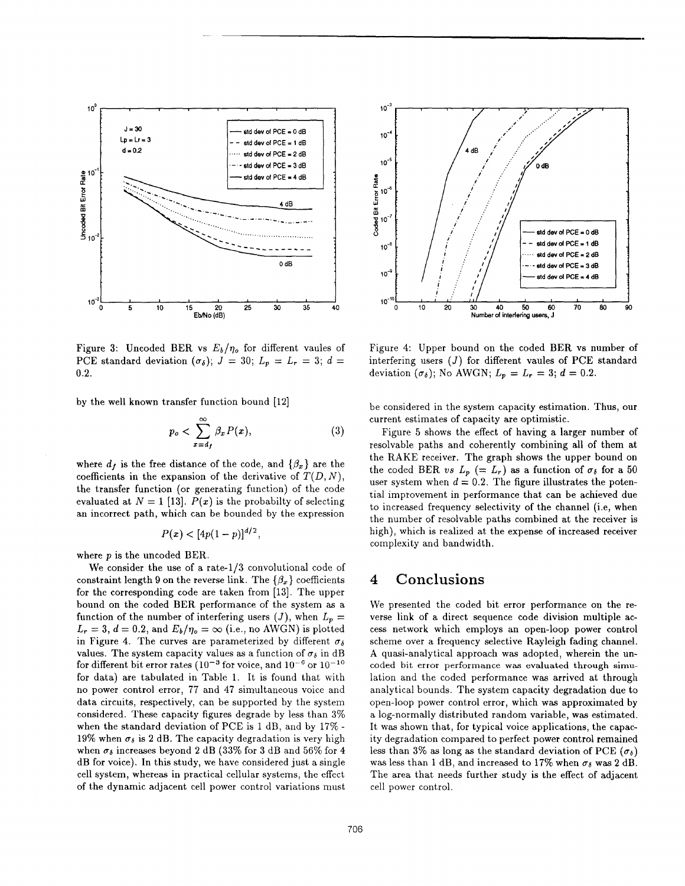

Figure 3: Uncoded BER vs  $E_b/\eta_o$  for different vaules of PCE standard deviation  $(\sigma_{\delta})$ ;  $J = 30$ ;  $L_p = L_r = 3$ ;  $d =$ 0.2.

by the well known transfer function bound **[12]** 

$$
p_o < \sum_{x=d_f}^{\infty} \beta_x P(x),\tag{3}
$$

where  $d_f$  is the free distance of the code, and  $\{\beta_x\}$  are the coefficients in the expansion of the derivative of  $T(D, N)$ , the transfer function (or generating function) of the code evaluated at  $N = 1$  [13].  $P(x)$  is the probabilty of selecting an incorrect path, which can be bounded by the expression

$$
P(x) < [4p(1-p)]^{d/2},
$$

where *p* is the uncoded BER.

We consider the use of a rate- $1/3$  convolutional code of constraint length 9 on the reverse link. The  $\{\beta_x\}$  coefficients for the corresponding code are taken from **[13].** The upper bound on the coded BER performance of the system as a function of the number of interfering users  $(J)$ , when  $L_p =$  $L_r = 3$ ,  $d = 0.2$ , and  $E_b/\eta_o = \infty$  (i.e., no AWGN) is plotted in Figure 4. The curves are parameterized by different  $\sigma_{\delta}$ values. The system capacity values as a function of  $\sigma_{\delta}$  in dB for different bit error rates  $(10^{-3}$  for voice, and  $10^{-6}$  or  $10^{-10}$ for data) are tabulated in Table **1.** It is found that with no power control error, **77** and **47** simultaneous voice and data circuits, respectively, can be supported by the system considered. These capacity figures degrade by less than **3%**  when the standard deviation of PCE is 1 dB, and by 17% - 19% when  $\sigma_{\delta}$  is 2 dB. The capacity degradation is very high when  $\sigma_{\delta}$  increases beyond 2 dB (33% for 3 dB and 56% for 4 dB for voice). In this study, we have considered just a single cell system, whereas in practical cellular systems, the effect of the dynamic adjacent cell power control variations must



Figure **4:** Upper bound on the coded BER vs number of interfering users *(J)* for different vaules of **PCE** standard deviation  $(\sigma_{\delta})$ ; No AWGN;  $L_p = L_r = 3$ ;  $d = 0.2$ .

be considered in the system capacity estimation. Thus, our current estimates of capacity are optimistic.

Figure 5 shows the effect of having a larger number of resolvable paths and coherently combining all of them at the RAKE receiver. The graph shows the upper bound on the coded BER *us*  $L_p$  (=  $L_r$ ) as a function of  $\sigma_\delta$  for a 50 user system when  $d = 0.2$ . The figure illustrates the potential improvement in performance that can be achieved due to increased frequency selectivity of the channel (i.e, when the number of resolvable paths combined at the receiver is high), which is realized at the expense of increased receiver complexity and bandwidth.

## **4** Conclusions

We presented the coded bit error performance on the reverse link of a direct sequence code division multiple access network which employs an open-loop power control scheme over a frequency selective Rayleigh fading channel. A quasi-analytical approach was adopted, wherein the uncoded bit **error performance was evaluated through simu**lation and the coded performance was arrived at through analytical bounds. The system capacity degradation due to open-loop power control error, which was approximated by a log-normally distributed random variable, was estimated. It **was** shown that, for typical voice applications, the capacity degradation compared to perfect power control remained less than **3%** as long as the standard deviation of PCE *(66)*  was less than 1 dB, and increased to 17% when  $\sigma_{\delta}$  was 2 dB. The area that needs further study is the effect of adjacent cell power control.